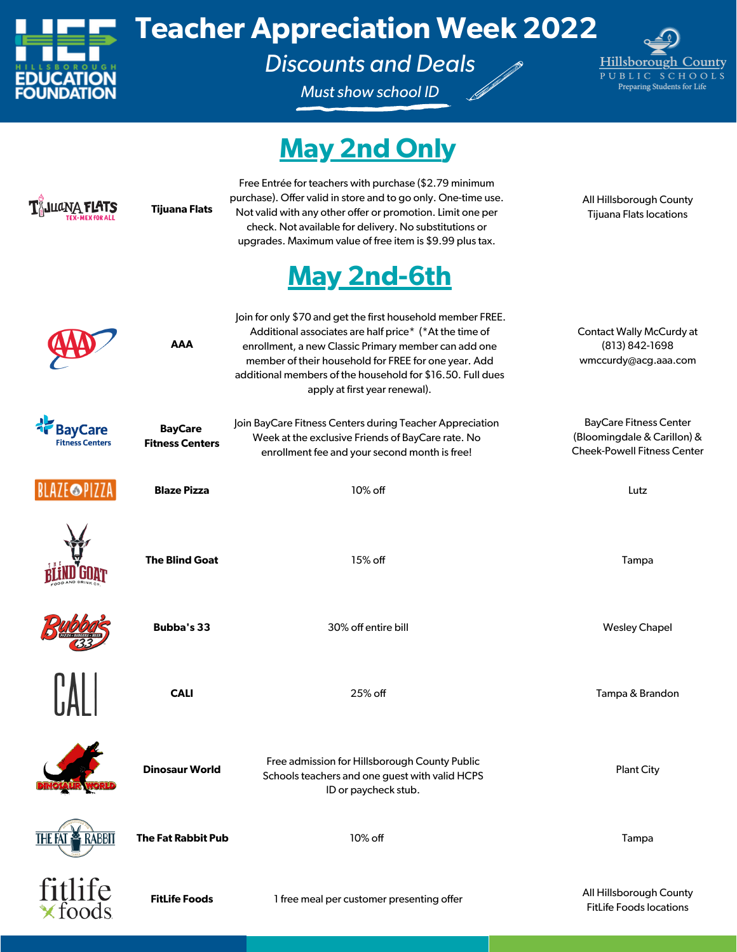

## **Teacher Appreciation Week 2022**

*Discounts and Deals*

*Must show school ID*



## **May 2nd Only**

|                                          | <b>Tijuana Flats</b>                     | Free Entrée for teachers with purchase (\$2.79 minimum<br>purchase). Offer valid in store and to go only. One-time use.<br>Not valid with any other offer or promotion. Limit one per<br>check. Not available for delivery. No substitutions or<br>upgrades. Maximum value of free item is \$9.99 plus tax.                                                | All Hillsborough County<br><b>Tijuana Flats locations</b>                                          |
|------------------------------------------|------------------------------------------|------------------------------------------------------------------------------------------------------------------------------------------------------------------------------------------------------------------------------------------------------------------------------------------------------------------------------------------------------------|----------------------------------------------------------------------------------------------------|
|                                          | <b>AAA</b>                               | <b>May 2nd-6th</b><br>Join for only \$70 and get the first household member FREE.<br>Additional associates are half price* (*At the time of<br>enrollment, a new Classic Primary member can add one<br>member of their household for FREE for one year. Add<br>additional members of the household for \$16.50. Full dues<br>apply at first year renewal). | Contact Wally McCurdy at<br>(813) 842-1698<br>wmccurdy@acg.aaa.com                                 |
| <b>BayCare</b><br><b>Fitness Centers</b> | <b>BayCare</b><br><b>Fitness Centers</b> | Join BayCare Fitness Centers during Teacher Appreciation<br>Week at the exclusive Friends of BayCare rate. No<br>enrollment fee and your second month is free!                                                                                                                                                                                             | <b>BayCare Fitness Center</b><br>(Bloomingdale & Carillon) &<br><b>Cheek-Powell Fitness Center</b> |
| <b>BLAZE</b> PIZZA                       | <b>Blaze Pizza</b>                       | 10% off                                                                                                                                                                                                                                                                                                                                                    | Lutz                                                                                               |
|                                          | <b>The Blind Goat</b>                    | 15% off                                                                                                                                                                                                                                                                                                                                                    | Tampa                                                                                              |
|                                          | <b>Bubba's 33</b>                        | 30% off entire bill                                                                                                                                                                                                                                                                                                                                        | <b>Wesley Chapel</b>                                                                               |
|                                          | <b>CALI</b>                              | 25% off                                                                                                                                                                                                                                                                                                                                                    | Tampa & Brandon                                                                                    |
|                                          | <b>Dinosaur World</b>                    | Free admission for Hillsborough County Public<br>Schools teachers and one guest with valid HCPS<br>ID or paycheck stub.                                                                                                                                                                                                                                    | <b>Plant City</b>                                                                                  |
| RABBIT                                   | <b>The Fat Rabbit Pub</b>                | 10% off                                                                                                                                                                                                                                                                                                                                                    | Tampa                                                                                              |
| fitlife<br>*foods                        | <b>FitLife Foods</b>                     | 1 free meal per customer presenting offer                                                                                                                                                                                                                                                                                                                  | All Hillsborough County<br><b>FitLife Foods locations</b>                                          |